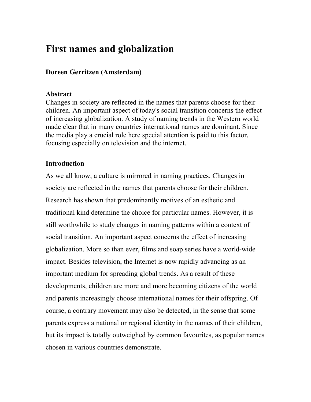# **First names and globalization**

## **Doreen Gerritzen (Amsterdam)**

## **Abstract**

Changes in society are reflected in the names that parents choose for their children. An important aspect of today's social transition concerns the effect of increasing globalization. A study of naming trends in the Western world made clear that in many countries international names are dominant. Since the media play a crucial role here special attention is paid to this factor, focusing especially on television and the internet.

## **Introduction**

As we all know, a culture is mirrored in naming practices. Changes in society are reflected in the names that parents choose for their children. Research has shown that predominantly motives of an esthetic and traditional kind determine the choice for particular names. However, it is still worthwhile to study changes in naming patterns within a context of social transition. An important aspect concerns the effect of increasing globalization. More so than ever, films and soap series have a world-wide impact. Besides television, the Internet is now rapidly advancing as an important medium for spreading global trends. As a result of these developments, children are more and more becoming citizens of the world and parents increasingly choose international names for their offspring. Of course, a contrary movement may also be detected, in the sense that some parents express a national or regional identity in the names of their children, but its impact is totally outweighed by common favourites, as popular names chosen in various countries demonstrate.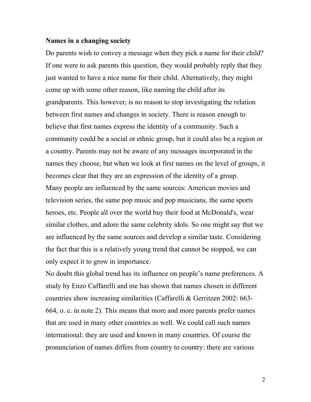#### **Names in a changing society**

Do parents wish to convey a message when they pick a name for their child? If one were to ask parents this question, they would probably reply that they just wanted to have a nice name for their child. Alternatively, they might come up with some other reason, like naming the child after its grandparents. This however, is no reason to stop investigating the relation between first names and changes in society. There is reason enough to believe that first names express the identity of a community. Such a community could be a social or ethnic group, but it could also be a region or a country. Parents may not be aware of any messages incorporated in the names they choose, but when we look at first names on the level of groups, it becomes clear that they are an expression of the identity of a group. Many people are influenced by the same sources: American movies and television series, the same pop music and pop musicians, the same sports heroes, etc. People all over the world buy their food at McDonald's, wear similar clothes, and adore the same celebrity idols. So one might say that we are influenced by the same sources and develop a similar taste. Considering the fact that this is a relatively young trend that cannot be stopped, we can only expect it to grow in importance.

No doubt this global trend has its influence on people's name preferences. A study by Enzo Caffarelli and me has shown that names chosen in different countries show increasing similarities (Caffarelli & Gerritzen 2002: 663- 664, o. c. in note 2). This means that more and more parents prefer names that are used in many other countries as well. We could call such names international: they are used and known in many countries. Of course the pronunciation of names differs from country to country: there are various

2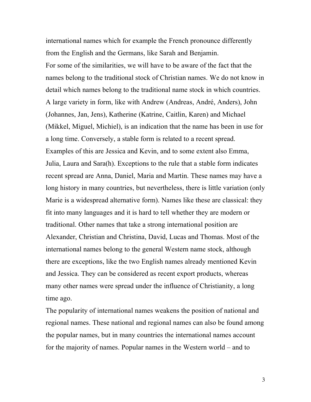international names which for example the French pronounce differently from the English and the Germans, like Sarah and Benjamin. For some of the similarities, we will have to be aware of the fact that the names belong to the traditional stock of Christian names. We do not know in detail which names belong to the traditional name stock in which countries. A large variety in form, like with Andrew (Andreas, André, Anders), John (Johannes, Jan, Jens), Katherine (Katrine, Caitlin, Karen) and Michael (Mikkel, Miguel, Michiel), is an indication that the name has been in use for a long time. Conversely, a stable form is related to a recent spread. Examples of this are Jessica and Kevin, and to some extent also Emma, Julia, Laura and Sara(h). Exceptions to the rule that a stable form indicates recent spread are Anna, Daniel, Maria and Martin. These names may have a long history in many countries, but nevertheless, there is little variation (only Marie is a widespread alternative form). Names like these are classical: they fit into many languages and it is hard to tell whether they are modern or traditional. Other names that take a strong international position are Alexander, Christian and Christina, David, Lucas and Thomas. Most of the international names belong to the general Western name stock, although there are exceptions, like the two English names already mentioned Kevin and Jessica. They can be considered as recent export products, whereas many other names were spread under the influence of Christianity, a long time ago.

The popularity of international names weakens the position of national and regional names. These national and regional names can also be found among the popular names, but in many countries the international names account for the majority of names. Popular names in the Western world – and to

3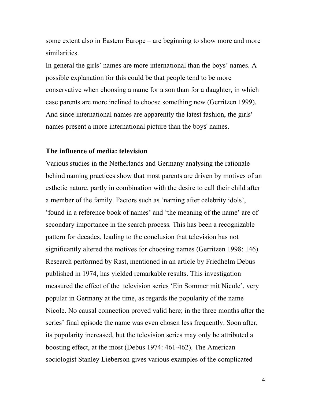some extent also in Eastern Europe – are beginning to show more and more similarities.

In general the girls' names are more international than the boys' names. A possible explanation for this could be that people tend to be more conservative when choosing a name for a son than for a daughter, in which case parents are more inclined to choose something new (Gerritzen 1999). And since international names are apparently the latest fashion, the girls' names present a more international picture than the boys' names.

### **The influence of media: television**

Various studies in the Netherlands and Germany analysing the rationale behind naming practices show that most parents are driven by motives of an esthetic nature, partly in combination with the desire to call their child after a member of the family. Factors such as 'naming after celebrity idols', 'found in a reference book of names' and 'the meaning of the name' are of secondary importance in the search process. This has been a recognizable pattern for decades, leading to the conclusion that television has not significantly altered the motives for choosing names (Gerritzen 1998: 146). Research performed by Rast, mentioned in an article by Friedhelm Debus published in 1974, has yielded remarkable results. This investigation measured the effect of the television series 'Ein Sommer mit Nicole', very popular in Germany at the time, as regards the popularity of the name Nicole. No causal connection proved valid here; in the three months after the series' final episode the name was even chosen less frequently. Soon after, its popularity increased, but the television series may only be attributed a boosting effect, at the most (Debus 1974: 461-462). The American sociologist Stanley Lieberson gives various examples of the complicated

4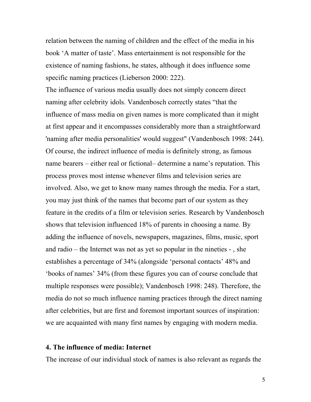relation between the naming of children and the effect of the media in his book 'A matter of taste'. Mass entertainment is not responsible for the existence of naming fashions, he states, although it does influence some specific naming practices (Lieberson 2000: 222).

The influence of various media usually does not simply concern direct naming after celebrity idols. Vandenbosch correctly states "that the influence of mass media on given names is more complicated than it might at first appear and it encompasses considerably more than a straightforward 'naming after media personalities' would suggest" (Vandenbosch 1998: 244). Of course, the indirect influence of media is definitely strong, as famous name bearers – either real or fictional– determine a name's reputation. This process proves most intense whenever films and television series are involved. Also, we get to know many names through the media. For a start, you may just think of the names that become part of our system as they feature in the credits of a film or television series. Research by Vandenbosch shows that television influenced 18% of parents in choosing a name. By adding the influence of novels, newspapers, magazines, films, music, sport and radio – the Internet was not as yet so popular in the nineties - , she establishes a percentage of 34% (alongside 'personal contacts' 48% and 'books of names' 34% (from these figures you can of course conclude that multiple responses were possible); Vandenbosch 1998: 248). Therefore, the media do not so much influence naming practices through the direct naming after celebrities, but are first and foremost important sources of inspiration: we are acquainted with many first names by engaging with modern media.

## **4. The influence of media: Internet**

The increase of our individual stock of names is also relevant as regards the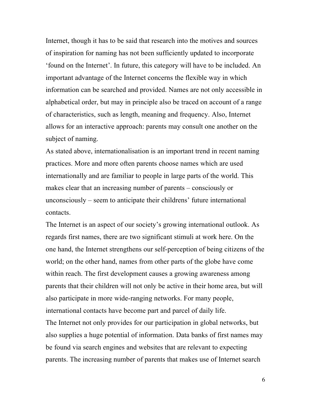Internet, though it has to be said that research into the motives and sources of inspiration for naming has not been sufficiently updated to incorporate 'found on the Internet'. In future, this category will have to be included. An important advantage of the Internet concerns the flexible way in which information can be searched and provided. Names are not only accessible in alphabetical order, but may in principle also be traced on account of a range of characteristics, such as length, meaning and frequency. Also, Internet allows for an interactive approach: parents may consult one another on the subject of naming.

As stated above, internationalisation is an important trend in recent naming practices. More and more often parents choose names which are used internationally and are familiar to people in large parts of the world. This makes clear that an increasing number of parents – consciously or unconsciously – seem to anticipate their childrens' future international contacts.

The Internet is an aspect of our society's growing international outlook. As regards first names, there are two significant stimuli at work here. On the one hand, the Internet strengthens our self-perception of being citizens of the world; on the other hand, names from other parts of the globe have come within reach. The first development causes a growing awareness among parents that their children will not only be active in their home area, but will also participate in more wide-ranging networks. For many people, international contacts have become part and parcel of daily life. The Internet not only provides for our participation in global networks, but also supplies a huge potential of information. Data banks of first names may be found via search engines and websites that are relevant to expecting parents. The increasing number of parents that makes use of Internet search